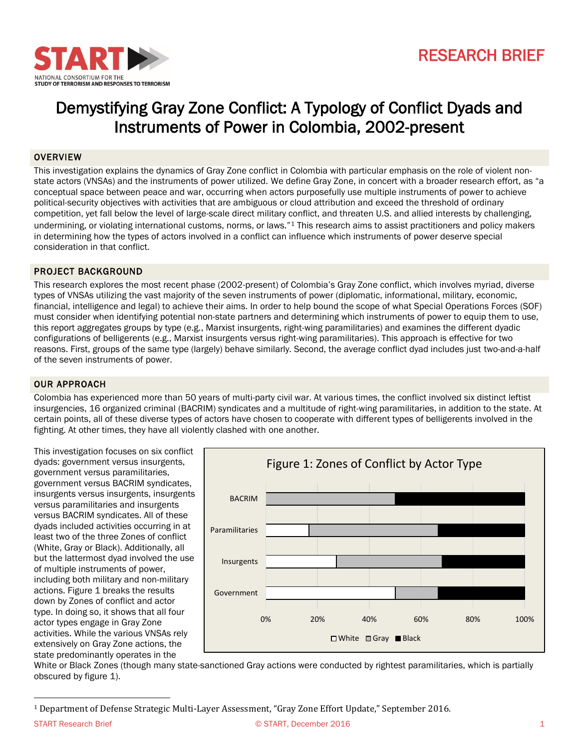

# Demystifying Gray Zone Conflict: A Typology of Conflict Dyads and Instruments of Power in Colombia, 2002-present

## **OVERVIEW**

This investigation explains the dynamics of Gray Zone conflict in Colombia with particular emphasis on the role of violent nonstate actors (VNSAs) and the instruments of power utilized. We define Gray Zone, in concert with a broader research effort, as "a conceptual space between peace and war, occurring when actors purposefully use multiple instruments of power to achieve political-security objectives with activities that are ambiguous or cloud attribution and exceed the threshold of ordinary competition, yet fall below the level of large-scale direct military conflict, and threaten U.S. and allied interests by challenging, undermining, or violating international customs, norms, or laws."<sup>1</sup> This research aims to assist practitioners and policy makers in determining how the types of actors involved in a conflict can influence which instruments of power deserve special consideration in that conflict.

#### PROJECT BACKGROUND

This research explores the most recent phase (2002-present) of Colombia's Gray Zone conflict, which involves myriad, diverse types of VNSAs utilizing the vast majority of the seven instruments of power (diplomatic, informational, military, economic, financial, intelligence and legal) to achieve their aims. In order to help bound the scope of what Special Operations Forces (SOF) must consider when identifying potential non-state partners and determining which instruments of power to equip them to use, this report aggregates groups by type (e.g., Marxist insurgents, right-wing paramilitaries) and examines the different dyadic configurations of belligerents (e.g., Marxist insurgents versus right-wing paramilitaries). This approach is effective for two reasons. First, groups of the same type (largely) behave similarly. Second, the average conflict dyad includes just two-and-a-half of the seven instruments of power.

### OUR APPROACH

Colombia has experienced more than 50 years of multi-party civil war. At various times, the conflict involved six distinct leftist insurgencies, 16 organized criminal (BACRIM) syndicates and a multitude of right-wing paramilitaries, in addition to the state. At certain points, all of these diverse types of actors have chosen to cooperate with different types of belligerents involved in the fighting. At other times, they have all violently clashed with one another.

This investigation focuses on six conflict dyads: government versus insurgents, government versus paramilitaries, government versus BACRIM syndicates, insurgents versus insurgents, insurgents versus paramilitaries and insurgents versus BACRIM syndicates. All of these dyads included activities occurring in at least two of the three Zones of conflict (White, Gray or Black). Additionally, all but the lattermost dyad involved the use of multiple instruments of power, including both military and non-military actions. Figure 1 breaks the results down by Zones of conflict and actor type. In doing so, it shows that all four actor types engage in Gray Zone activities. While the various VNSAs rely extensively on Gray Zone actions, the state predominantly operates in the



White or Black Zones (though many state-sanctioned Gray actions were conducted by rightest paramilitaries, which is partially obscured by figure 1).

 $\overline{\phantom{a}}$ 

<sup>1</sup> Department of Defense Strategic Multi-Layer Assessment, "Gray Zone Effort Update," September 2016.